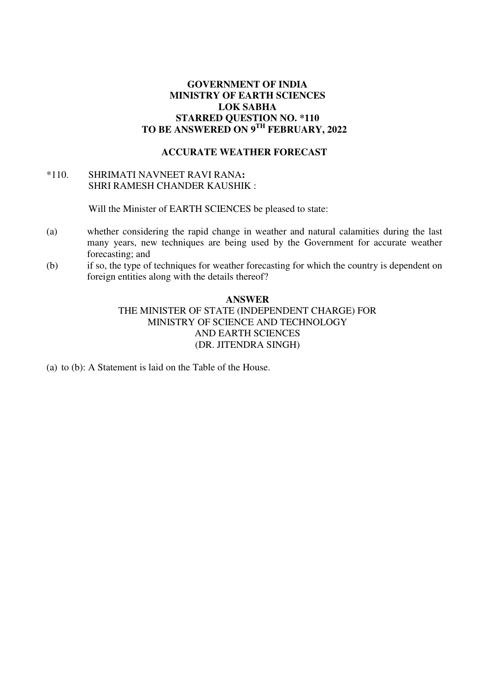## **GOVERNMENT OF INDIA MINISTRY OF EARTH SCIENCES LOK SABHA STARRED QUESTION NO. \*110 TO BE ANSWERED ON 9TH FEBRUARY, 2022**

### **ACCURATE WEATHER FORECAST**

# \*110.SHRIMATI NAVNEET RAVI RANA**:**  SHRI RAMESH CHANDER KAUSHIK :

Will the Minister of EARTH SCIENCES be pleased to state:

- (a) whether considering the rapid change in weather and natural calamities during the last many years, new techniques are being used by the Government for accurate weather forecasting; and
- (b) if so, the type of techniques for weather forecasting for which the country is dependent on foreign entities along with the details thereof?

#### **ANSWER**

THE MINISTER OF STATE (INDEPENDENT CHARGE) FOR MINISTRY OF SCIENCE AND TECHNOLOGY AND EARTH SCIENCES (DR. JITENDRA SINGH)

(a) to (b): A Statement is laid on the Table of the House.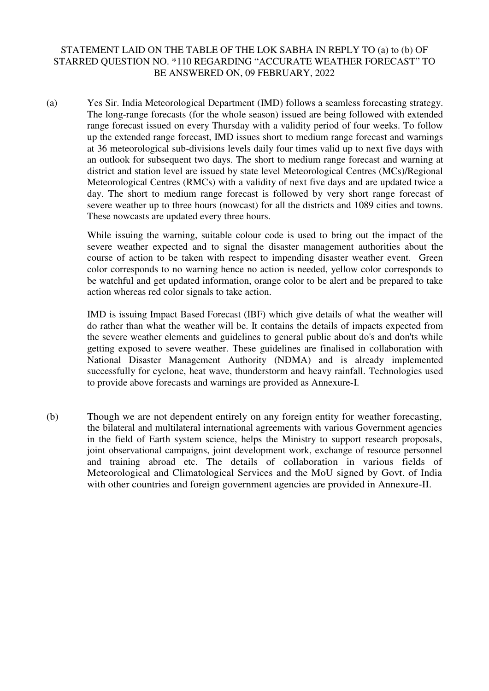# STATEMENT LAID ON THE TABLE OF THE LOK SABHA IN REPLY TO (a) to (b) OF STARRED QUESTION NO. \*110 REGARDING "ACCURATE WEATHER FORECAST" TO BE ANSWERED ON, 09 FEBRUARY, 2022

(a) Yes Sir. India Meteorological Department (IMD) follows a seamless forecasting strategy. The long-range forecasts (for the whole season) issued are being followed with extended range forecast issued on every Thursday with a validity period of four weeks. To follow up the extended range forecast, IMD issues short to medium range forecast and warnings at 36 meteorological sub-divisions levels daily four times valid up to next five days with an outlook for subsequent two days. The short to medium range forecast and warning at district and station level are issued by state level Meteorological Centres (MCs)/Regional Meteorological Centres (RMCs) with a validity of next five days and are updated twice a day. The short to medium range forecast is followed by very short range forecast of severe weather up to three hours (nowcast) for all the districts and 1089 cities and towns. These nowcasts are updated every three hours.

> While issuing the warning, suitable colour code is used to bring out the impact of the severe weather expected and to signal the disaster management authorities about the course of action to be taken with respect to impending disaster weather event. Green color corresponds to no warning hence no action is needed, yellow color corresponds to be watchful and get updated information, orange color to be alert and be prepared to take action whereas red color signals to take action.

> IMD is issuing Impact Based Forecast (IBF) which give details of what the weather will do rather than what the weather will be. It contains the details of impacts expected from the severe weather elements and guidelines to general public about do's and don'ts while getting exposed to severe weather. These guidelines are finalised in collaboration with National Disaster Management Authority (NDMA) and is already implemented successfully for cyclone, heat wave, thunderstorm and heavy rainfall. Technologies used to provide above forecasts and warnings are provided as Annexure-I.

(b) Though we are not dependent entirely on any foreign entity for weather forecasting, the bilateral and multilateral international agreements with various Government agencies in the field of Earth system science, helps the Ministry to support research proposals, joint observational campaigns, joint development work, exchange of resource personnel and training abroad etc. The details of collaboration in various fields of Meteorological and Climatological Services and the MoU signed by Govt. of India with other countries and foreign government agencies are provided in Annexure-II.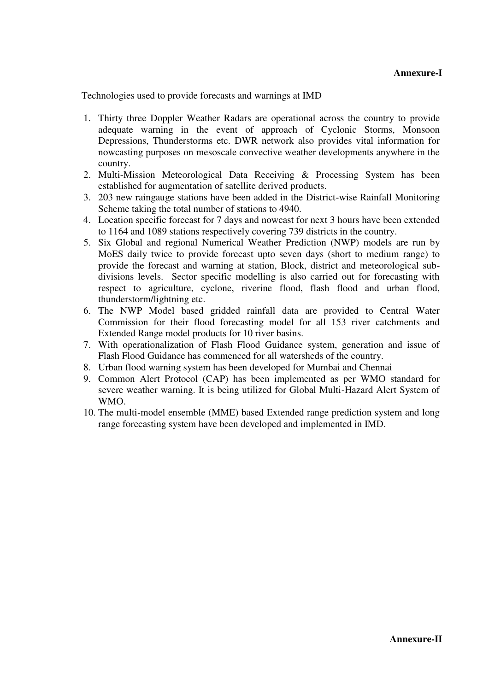Technologies used to provide forecasts and warnings at IMD

- 1. Thirty three Doppler Weather Radars are operational across the country to provide adequate warning in the event of approach of Cyclonic Storms, Monsoon Depressions, Thunderstorms etc. DWR network also provides vital information for nowcasting purposes on mesoscale convective weather developments anywhere in the country.
- 2. Multi-Mission Meteorological Data Receiving & Processing System has been established for augmentation of satellite derived products.
- 3. 203 new raingauge stations have been added in the District-wise Rainfall Monitoring Scheme taking the total number of stations to 4940.
- 4. Location specific forecast for 7 days and nowcast for next 3 hours have been extended to 1164 and 1089 stations respectively covering 739 districts in the country.
- 5. Six Global and regional Numerical Weather Prediction (NWP) models are run by MoES daily twice to provide forecast upto seven days (short to medium range) to provide the forecast and warning at station, Block, district and meteorological subdivisions levels. Sector specific modelling is also carried out for forecasting with respect to agriculture, cyclone, riverine flood, flash flood and urban flood, thunderstorm/lightning etc.
- 6. The NWP Model based gridded rainfall data are provided to Central Water Commission for their flood forecasting model for all 153 river catchments and Extended Range model products for 10 river basins.
- 7. With operationalization of Flash Flood Guidance system, generation and issue of Flash Flood Guidance has commenced for all watersheds of the country.
- 8. Urban flood warning system has been developed for Mumbai and Chennai
- 9. Common Alert Protocol (CAP) has been implemented as per WMO standard for severe weather warning. It is being utilized for Global Multi-Hazard Alert System of WMO.
- 10. The multi-model ensemble (MME) based Extended range prediction system and long range forecasting system have been developed and implemented in IMD.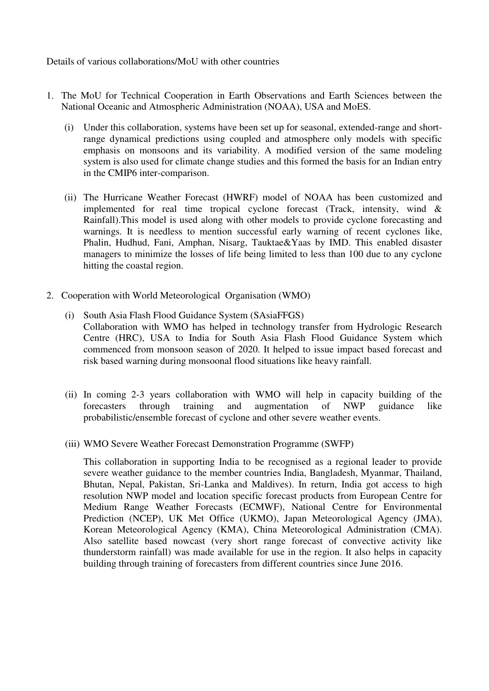Details of various collaborations/MoU with other countries

- 1. The MoU for Technical Cooperation in Earth Observations and Earth Sciences between the National Oceanic and Atmospheric Administration (NOAA), USA and MoES.
	- (i) Under this collaboration, systems have been set up for seasonal, extended-range and shortrange dynamical predictions using coupled and atmosphere only models with specific emphasis on monsoons and its variability. A modified version of the same modeling system is also used for climate change studies and this formed the basis for an Indian entry in the CMIP6 inter-comparison.
	- (ii) The Hurricane Weather Forecast (HWRF) model of NOAA has been customized and implemented for real time tropical cyclone forecast (Track, intensity, wind & Rainfall).This model is used along with other models to provide cyclone forecasting and warnings. It is needless to mention successful early warning of recent cyclones like, Phalin, Hudhud, Fani, Amphan, Nisarg, Tauktae&Yaas by IMD. This enabled disaster managers to minimize the losses of life being limited to less than 100 due to any cyclone hitting the coastal region.
- 2. Cooperation with World Meteorological Organisation (WMO)
	- (i) South Asia Flash Flood Guidance System (SAsiaFFGS) Collaboration with WMO has helped in technology transfer from Hydrologic Research Centre (HRC), USA to India for South Asia Flash Flood Guidance System which commenced from monsoon season of 2020. It helped to issue impact based forecast and risk based warning during monsoonal flood situations like heavy rainfall.
	- (ii) In coming 2-3 years collaboration with WMO will help in capacity building of the forecasters through training and augmentation of NWP guidance like probabilistic/ensemble forecast of cyclone and other severe weather events.
	- (iii) WMO Severe Weather Forecast Demonstration Programme (SWFP)

This collaboration in supporting India to be recognised as a regional leader to provide severe weather guidance to the member countries India, Bangladesh, Myanmar, Thailand, Bhutan, Nepal, Pakistan, Sri-Lanka and Maldives). In return, India got access to high resolution NWP model and location specific forecast products from European Centre for Medium Range Weather Forecasts (ECMWF), National Centre for Environmental Prediction (NCEP), UK Met Office (UKMO), Japan Meteorological Agency (JMA), Korean Meteorological Agency (KMA), China Meteorological Administration (CMA). Also satellite based nowcast (very short range forecast of convective activity like thunderstorm rainfall) was made available for use in the region. It also helps in capacity building through training of forecasters from different countries since June 2016.